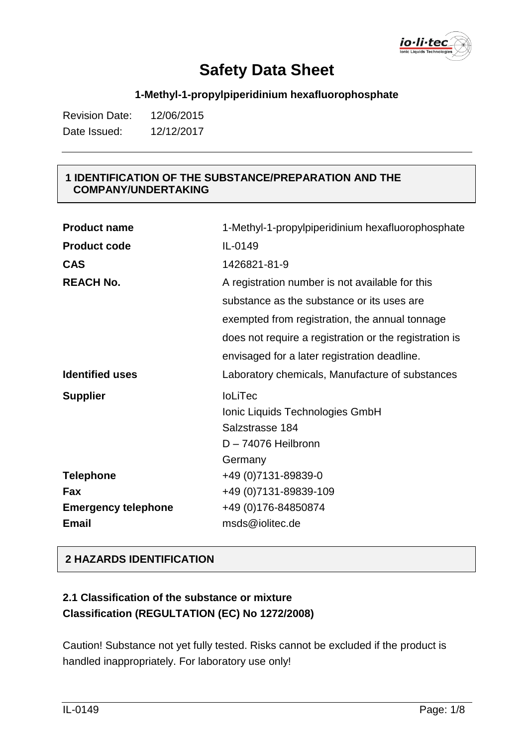io·li·tec

### **1-Methyl-1-propylpiperidinium hexafluorophosphate**

| <b>Revision Date:</b> | 12/06/2015 |
|-----------------------|------------|
| Date Issued:          | 12/12/2017 |

#### **1 IDENTIFICATION OF THE SUBSTANCE/PREPARATION AND THE COMPANY/UNDERTAKING**

| <b>Product name</b>        | 1-Methyl-1-propylpiperidinium hexafluorophosphate      |
|----------------------------|--------------------------------------------------------|
| <b>Product code</b>        | IL-0149                                                |
| <b>CAS</b>                 | 1426821-81-9                                           |
| <b>REACH No.</b>           | A registration number is not available for this        |
|                            | substance as the substance or its uses are             |
|                            | exempted from registration, the annual tonnage         |
|                            | does not require a registration or the registration is |
|                            | envisaged for a later registration deadline.           |
| <b>Identified uses</b>     | Laboratory chemicals, Manufacture of substances        |
| <b>Supplier</b>            | <b>IoLiTec</b>                                         |
|                            | Ionic Liquids Technologies GmbH                        |
|                            | Salzstrasse 184                                        |
|                            | D-74076 Heilbronn                                      |
|                            | Germany                                                |
| <b>Telephone</b>           | +49 (0) 7131-89839-0                                   |
| Fax                        | +49 (0) 7131-89839-109                                 |
| <b>Emergency telephone</b> | +49 (0) 176-84850874                                   |
| <b>Email</b>               | msds@iolitec.de                                        |

#### **2 HAZARDS IDENTIFICATION**

## **2.1 Classification of the substance or mixture Classification (REGULTATION (EC) No 1272/2008)**

Caution! Substance not yet fully tested. Risks cannot be excluded if the product is handled inappropriately. For laboratory use only!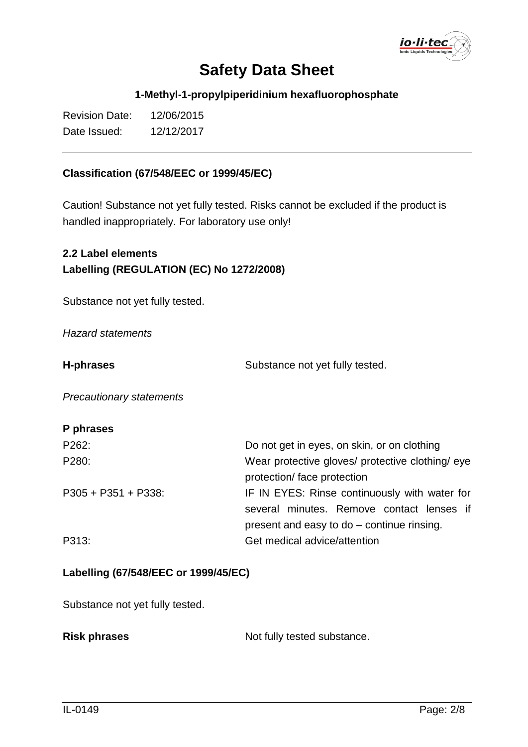io·li·tec

#### **1-Methyl-1-propylpiperidinium hexafluorophosphate**

| <b>Revision Date:</b> | 12/06/2015 |
|-----------------------|------------|
| Date Issued:          | 12/12/2017 |

#### **Classification (67/548/EEC or 1999/45/EC)**

Caution! Substance not yet fully tested. Risks cannot be excluded if the product is handled inappropriately. For laboratory use only!

## **2.2 Label elements Labelling (REGULATION (EC) No 1272/2008)**

Substance not yet fully tested.

*Hazard statements*

**H-phrases** Substance not yet fully tested.

*Precautionary statements*

### **P phrases**

| P262:                  | Do not get in eyes, on skin, or on clothing      |
|------------------------|--------------------------------------------------|
| P280:                  | Wear protective gloves/ protective clothing/ eye |
|                        | protection/face protection                       |
| $P305 + P351 + P338$ : | IF IN EYES: Rinse continuously with water for    |
|                        | several minutes. Remove contact lenses if        |
|                        | present and easy to do – continue rinsing.       |
| P313:                  | Get medical advice/attention                     |

#### **Labelling (67/548/EEC or 1999/45/EC)**

Substance not yet fully tested.

Not fully tested substance.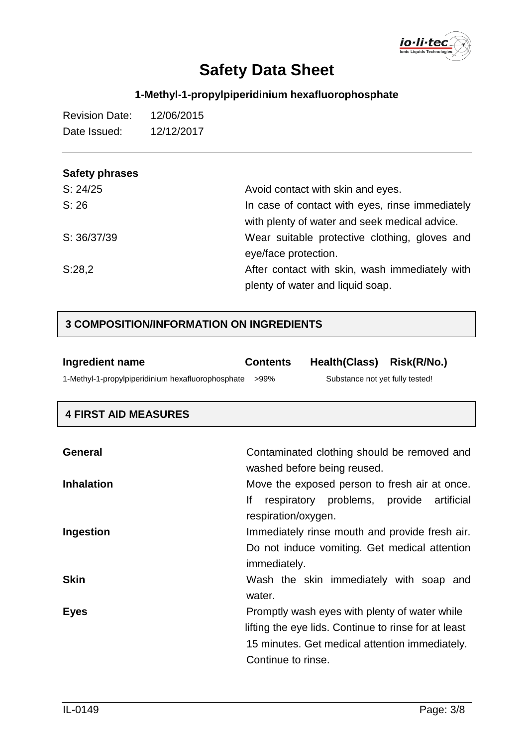

## **1-Methyl-1-propylpiperidinium hexafluorophosphate**

| <b>Revision Date:</b> | 12/06/2015 |
|-----------------------|------------|
| Date Issued:          | 12/12/2017 |

## **Safety phrases**

| S: 24/25    | Avoid contact with skin and eyes.                                                                |
|-------------|--------------------------------------------------------------------------------------------------|
| S: 26       | In case of contact with eyes, rinse immediately<br>with plenty of water and seek medical advice. |
| S: 36/37/39 | Wear suitable protective clothing, gloves and                                                    |
|             | eye/face protection.                                                                             |
| S:28,2      | After contact with skin, wash immediately with                                                   |
|             | plenty of water and liquid soap.                                                                 |

## **3 COMPOSITION/INFORMATION ON INGREDIENTS**

| Ingredient name                                   | <b>Contents</b> | Health(Class) Risk(R/No.)       |  |
|---------------------------------------------------|-----------------|---------------------------------|--|
| 1-Methyl-1-propylpiperidinium hexafluorophosphate | >99%            | Substance not yet fully tested! |  |

### **4 FIRST AID MEASURES**

| <b>General</b>    | Contaminated clothing should be removed and<br>washed before being reused.                                                                                                    |
|-------------------|-------------------------------------------------------------------------------------------------------------------------------------------------------------------------------|
| <b>Inhalation</b> | Move the exposed person to fresh air at once.<br>lf<br>respiratory problems, provide artificial<br>respiration/oxygen.                                                        |
| Ingestion         | Immediately rinse mouth and provide fresh air.<br>Do not induce vomiting. Get medical attention<br>immediately.                                                               |
| <b>Skin</b>       | Wash the skin immediately with soap and<br>water.                                                                                                                             |
| <b>Eyes</b>       | Promptly wash eyes with plenty of water while<br>lifting the eye lids. Continue to rinse for at least<br>15 minutes. Get medical attention immediately.<br>Continue to rinse. |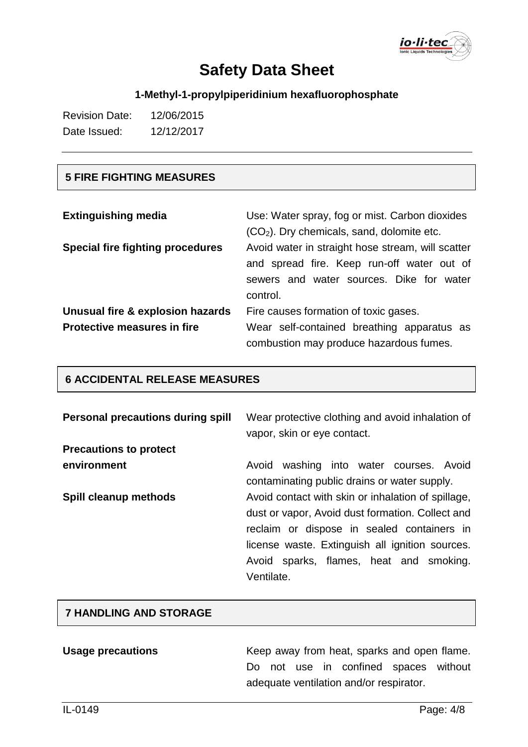

## **1-Methyl-1-propylpiperidinium hexafluorophosphate**

| <b>Revision Date:</b> | 12/06/2015 |
|-----------------------|------------|
| Date Issued:          | 12/12/2017 |

### **5 FIRE FIGHTING MEASURES**

| <b>Extinguishing media</b>              | Use: Water spray, fog or mist. Carbon dioxides<br>$(CO2)$ . Dry chemicals, sand, dolomite etc. |
|-----------------------------------------|------------------------------------------------------------------------------------------------|
| <b>Special fire fighting procedures</b> | Avoid water in straight hose stream, will scatter                                              |
|                                         | and spread fire. Keep run-off water out of                                                     |
|                                         | sewers and water sources. Dike for water                                                       |
|                                         | control.                                                                                       |
| Unusual fire & explosion hazards        | Fire causes formation of toxic gases.                                                          |
| <b>Protective measures in fire</b>      | Wear self-contained breathing apparatus as                                                     |
|                                         | combustion may produce hazardous fumes.                                                        |

## **6 ACCIDENTAL RELEASE MEASURES**

| <b>Personal precautions during spill</b> | Wear protective clothing and avoid inhalation of<br>vapor, skin or eye contact.                                                                                                                                                                                  |
|------------------------------------------|------------------------------------------------------------------------------------------------------------------------------------------------------------------------------------------------------------------------------------------------------------------|
| <b>Precautions to protect</b>            |                                                                                                                                                                                                                                                                  |
| environment                              | Avoid<br>washing into water courses. Avoid<br>contaminating public drains or water supply.                                                                                                                                                                       |
| Spill cleanup methods                    | Avoid contact with skin or inhalation of spillage,<br>dust or vapor, Avoid dust formation. Collect and<br>reclaim or dispose in sealed containers in<br>license waste. Extinguish all ignition sources.<br>Avoid sparks, flames, heat and smoking.<br>Ventilate. |

#### **7 HANDLING AND STORAGE**

| <b>Usage precautions</b> |  |  | Keep away from heat, sparks and open flame. |  |
|--------------------------|--|--|---------------------------------------------|--|
|                          |  |  | Do not use in confined spaces without       |  |
|                          |  |  | adequate ventilation and/or respirator.     |  |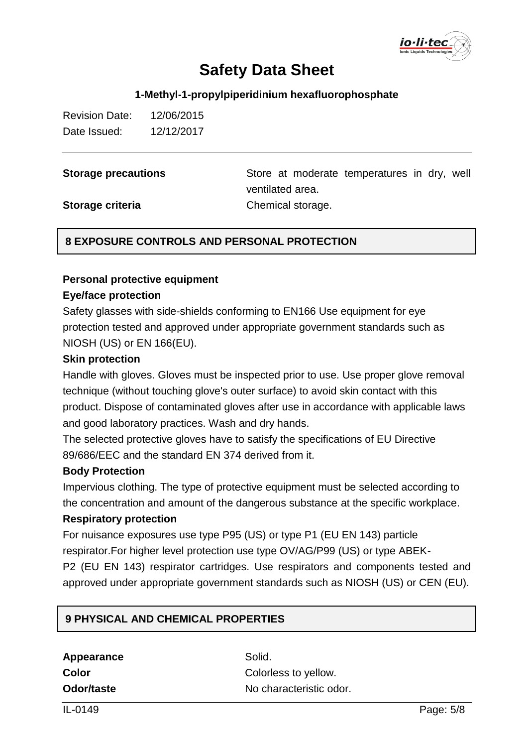

#### **1-Methyl-1-propylpiperidinium hexafluorophosphate**

| <b>Revision Date:</b> | 12/06/2015 |
|-----------------------|------------|
| Date Issued:          | 12/12/2017 |

**Storage precautions** Store at moderate temperatures in dry, well ventilated area. **Storage criteria** Chemical storage.

#### **8 EXPOSURE CONTROLS AND PERSONAL PROTECTION**

#### **Personal protective equipment**

#### **Eye/face protection**

Safety glasses with side-shields conforming to EN166 Use equipment for eye protection tested and approved under appropriate government standards such as NIOSH (US) or EN 166(EU).

#### **Skin protection**

Handle with gloves. Gloves must be inspected prior to use. Use proper glove removal technique (without touching glove's outer surface) to avoid skin contact with this product. Dispose of contaminated gloves after use in accordance with applicable laws and good laboratory practices. Wash and dry hands.

The selected protective gloves have to satisfy the specifications of EU Directive 89/686/EEC and the standard EN 374 derived from it.

#### **Body Protection**

Impervious clothing. The type of protective equipment must be selected according to the concentration and amount of the dangerous substance at the specific workplace.

#### **Respiratory protection**

For nuisance exposures use type P95 (US) or type P1 (EU EN 143) particle respirator.For higher level protection use type OV/AG/P99 (US) or type ABEK-

P2 (EU EN 143) respirator cartridges. Use respirators and components tested and approved under appropriate government standards such as NIOSH (US) or CEN (EU).

#### **9 PHYSICAL AND CHEMICAL PROPERTIES**

Appearance Solid. **Color** Colorless to yellow. **Odor/taste** No characteristic odor.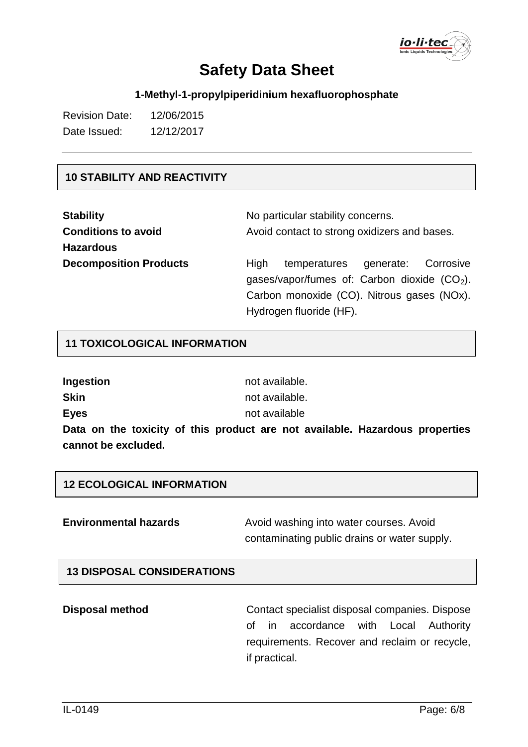

### **1-Methyl-1-propylpiperidinium hexafluorophosphate**

| <b>Revision Date:</b> | 12/06/2015 |
|-----------------------|------------|
| Date Issued:          | 12/12/2017 |

#### **10 STABILITY AND REACTIVITY**

| <b>Stability</b>              | No particular stability concerns.                     |  |  |  |
|-------------------------------|-------------------------------------------------------|--|--|--|
| <b>Conditions to avoid</b>    | Avoid contact to strong oxidizers and bases.          |  |  |  |
| <b>Hazardous</b>              |                                                       |  |  |  |
| <b>Decomposition Products</b> | temperatures<br>generate:<br>Corrosive<br><b>High</b> |  |  |  |
|                               | gases/vapor/fumes of: Carbon dioxide $(CO2)$ .        |  |  |  |
|                               | Carbon monoxide (CO). Nitrous gases (NOx).            |  |  |  |
|                               | Hydrogen fluoride (HF).                               |  |  |  |

#### **11 TOXICOLOGICAL INFORMATION**

| Ingestion                                            | not available. |
|------------------------------------------------------|----------------|
| Skin                                                 | not available. |
| <b>Eyes</b>                                          | not available  |
| Data on the toxicity of this product are not availal |                |

the toxicity of this product are not available. Hazardous properties **cannot be excluded.**

#### **12 ECOLOGICAL INFORMATION**

**Environmental hazards** Avoid washing into water courses. Avoid contaminating public drains or water supply.

#### **13 DISPOSAL CONSIDERATIONS**

**Disposal method Contact specialist disposal companies. Dispose** of in accordance with Local Authority requirements. Recover and reclaim or recycle, if practical.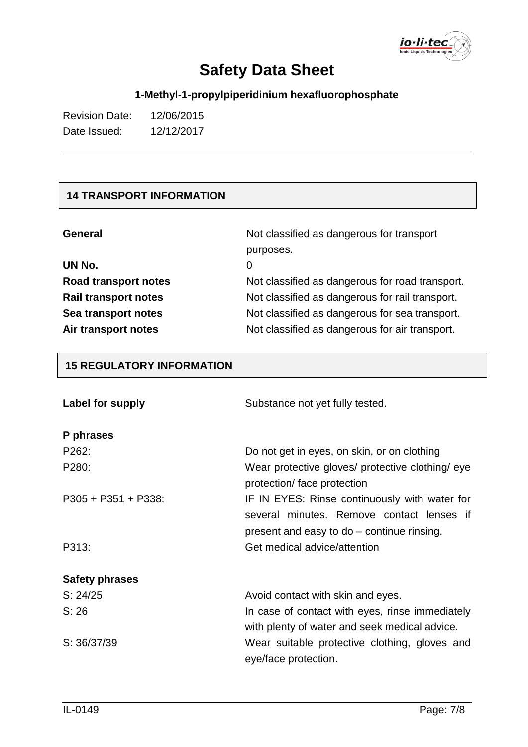

## **1-Methyl-1-propylpiperidinium hexafluorophosphate**

| <b>Revision Date:</b> | 12/06/2015 |
|-----------------------|------------|
| Date Issued:          | 12/12/2017 |

## **14 TRANSPORT INFORMATION**

| <b>General</b>              | Not classified as dangerous for transport       |  |
|-----------------------------|-------------------------------------------------|--|
|                             | purposes.                                       |  |
| UN No.                      | 0                                               |  |
| Road transport notes        | Not classified as dangerous for road transport. |  |
| <b>Rail transport notes</b> | Not classified as dangerous for rail transport. |  |
| Sea transport notes         | Not classified as dangerous for sea transport.  |  |
| Air transport notes         | Not classified as dangerous for air transport.  |  |

### **15 REGULATORY INFORMATION**

| Label for supply      | Substance not yet fully tested.                                                                                                          |  |
|-----------------------|------------------------------------------------------------------------------------------------------------------------------------------|--|
| P phrases             |                                                                                                                                          |  |
| P262:                 | Do not get in eyes, on skin, or on clothing                                                                                              |  |
| P280:                 | Wear protective gloves/ protective clothing/ eye<br>protection/face protection                                                           |  |
| $P305 + P351 + P338$  | IF IN EYES: Rinse continuously with water for<br>several minutes. Remove contact lenses if<br>present and easy to do – continue rinsing. |  |
| P313:                 | Get medical advice/attention                                                                                                             |  |
| <b>Safety phrases</b> |                                                                                                                                          |  |
| S: 24/25              | Avoid contact with skin and eyes.                                                                                                        |  |
| S: 26                 | In case of contact with eyes, rinse immediately<br>with plenty of water and seek medical advice.                                         |  |
| S: 36/37/39           | Wear suitable protective clothing, gloves and<br>eye/face protection.                                                                    |  |